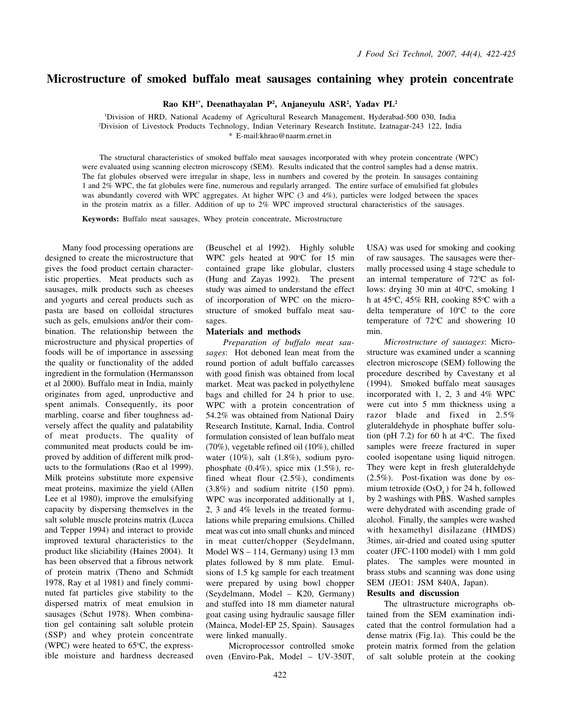## Microstructure of smoked buffalo meat sausages containing whey protein concentrate

Rao KH<sup>1\*</sup>, Deenathayalan P<sup>2</sup>, Anjaneyulu ASR<sup>2</sup>, Yadav PL<sup>2</sup>

<sup>1</sup>Division of HRD, National Academy of Agricultural Research Management, Hyderabad-500 030, India <sup>2</sup>Division of Livestock Products Technology, Indian Veterinary Research Institute, Izatnagar-243 122, India \* E-mail:khrao@naarm.ernet.in

The structural characteristics of smoked buffalo meat sausages incorporated with whey protein concentrate (WPC) were evaluated using scanning electron microscopy (SEM). Results indicated that the control samples had a dense matrix. The fat globules observed were irregular in shape, less in numbers and covered by the protein. In sausages containing 1 and 2% WPC, the fat globules were fine, numerous and regularly arranged. The entire surface of emulsified fat globules was abundantly covered with WPC aggregates. At higher WPC (3 and 4%), particles were lodged between the spaces in the protein matrix as a filler. Addition of up to 2% WPC improved structural characteristics of the sausages.

Keywords: Buffalo meat sausages, Whey protein concentrate, Microstructure

Many food processing operations are designed to create the microstructure that gives the food product certain characteristic properties. Meat products such as sausages, milk products such as cheeses and yogurts and cereal products such as pasta are based on colloidal structures such as gels, emulsions and/or their combination. The relationship between the microstructure and physical properties of foods will be of importance in assessing the quality or functionality of the added ingredient in the formulation (Hermansson et al 2000). Buffalo meat in India, mainly originates from aged, unproductive and spent animals. Consequently, its poor marbling, coarse and fiber toughness adversely affect the quality and palatability of meat products. The quality of communited meat products could be improved by addition of different milk products to the formulations (Rao et al 1999). Milk proteins substitute more expensive meat proteins, maximize the yield (Allen Lee et al 1980), improve the emulsifying capacity by dispersing themselves in the salt soluble muscle proteins matrix (Lucca and Tepper 1994) and interact to provide improved textural characteristics to the product like sliciability (Haines 2004). It has been observed that a fibrous network of protein matrix (Theno and Schmidt 1978, Ray et al 1981) and finely comminuted fat particles give stability to the dispersed matrix of meat emulsion in sausages (Schut 1978). When combination gel containing salt soluble protein (SSP) and whey protein concentrate (WPC) were heated to  $65^{\circ}$ C, the expressible moisture and hardness decreased (Beuschel et al 1992). Highly soluble WPC gels heated at 90°C for 15 min contained grape like globular, clusters (Hung and Zayas 1992). The present study was aimed to understand the effect of incorporation of WPC on the microstructure of smoked buffalo meat sausages.

### Materials and methods

Preparation of buffalo meat sausages: Hot deboned lean meat from the round portion of adult buffalo carcasses with good finish was obtained from local market. Meat was packed in polyethylene bags and chilled for 24 h prior to use. WPC with a protein concentration of 54.2% was obtained from National Dairy Research Institute, Karnal, India. Control formulation consisted of lean buffalo meat (70%), vegetable refined oil (10%), chilled water (10%), salt (1.8%), sodium pyrophosphate  $(0.4\%)$ , spice mix  $(1.5\%)$ , refined wheat flour (2.5%), condiments (3.8%) and sodium nitrite (150 ppm). WPC was incorporated additionally at 1, 2, 3 and 4% levels in the treated formulations while preparing emulsions. Chilled meat was cut into small chunks and minced in meat cutter/chopper (Seydelmann, Model WS – 114, Germany) using 13 mm plates followed by 8 mm plate. Emulsions of 1.5 kg sample for each treatment were prepared by using bowl chopper (Seydelmann, Model – K20, Germany) and stuffed into 18 mm diameter natural goat casing using hydraulic sausage filler (Mainca, Model-EP 25, Spain). Sausages were linked manually.

Microprocessor controlled smoke oven (Enviro-Pak, Model – UV-350T, USA) was used for smoking and cooking of raw sausages. The sausages were thermally processed using 4 stage schedule to an internal temperature of  $72^{\circ}$ C as follows: drying 30 min at 40°C, smoking 1 h at  $45^{\circ}$ C,  $45\%$  RH, cooking  $85^{\circ}$ C with a delta temperature of  $10^{\circ}$ C to the core temperature of  $72^{\circ}$ C and showering 10 min.

Microstructure of sausages: Microstructure was examined under a scanning electron microscope (SEM) following the procedure described by Cavestany et al (1994). Smoked buffalo meat sausages incorporated with 1, 2, 3 and 4% WPC were cut into 5 mm thickness using a razor blade and fixed in 2.5% gluteraldehyde in phosphate buffer solution (pH 7.2) for 60 h at  $4^{\circ}$ C. The fixed samples were freeze fractured in super cooled isopentane using liquid nitrogen. They were kept in fresh gluteraldehyde (2.5%). Post-fixation was done by osmium tetroxide  $(OsO<sub>4</sub>)$  for 24 h, followed by 2 washings with PBS. Washed samples were dehydrated with ascending grade of alcohol. Finally, the samples were washed with hexamethyl disilazane (HMDS) 3times, air-dried and coated using sputter coater (JFC-1100 model) with 1 mm gold plates. The samples were mounted in brass stubs and scanning was done using SEM (JEO1: JSM 840A, Japan).

### Results and discussion

The ultrastructure micrographs obtained from the SEM examination indicated that the control formulation had a dense matrix (Fig.1a). This could be the protein matrix formed from the gelation of salt soluble protein at the cooking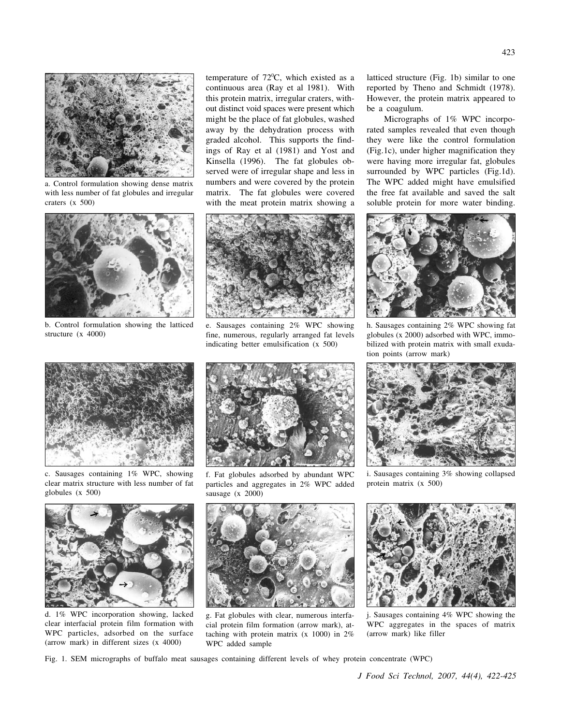

a. Control formulation showing dense matrix with less number of fat globules and irregular craters (x 500)



b. Control formulation showing the latticed structure (x 4000)

temperature of 72°C, which existed as a continuous area (Ray et al 1981). With this protein matrix, irregular craters, without distinct void spaces were present which might be the place of fat globules, washed away by the dehydration process with graded alcohol. This supports the findings of Ray et al (1981) and Yost and Kinsella (1996). The fat globules observed were of irregular shape and less in numbers and were covered by the protein matrix. The fat globules were covered with the meat protein matrix showing a



e. Sausages containing 2% WPC showing fine, numerous, regularly arranged fat levels indicating better emulsification (x 500)

latticed structure (Fig. 1b) similar to one reported by Theno and Schmidt (1978). However, the protein matrix appeared to be a coagulum.

Micrographs of 1% WPC incorporated samples revealed that even though they were like the control formulation (Fig.1c), under higher magnification they were having more irregular fat, globules surrounded by WPC particles (Fig.1d). The WPC added might have emulsified the free fat available and saved the salt soluble protein for more water binding.



h. Sausages containing 2% WPC showing fat globules (x 2000) adsorbed with WPC, immobilized with protein matrix with small exudation points (arrow mark)



c. Sausages containing 1% WPC, showing clear matrix structure with less number of fat globules (x 500)



f. Fat globules adsorbed by abundant WPC particles and aggregates in 2% WPC added sausage (x 2000)



i. Sausages containing 3% showing collapsed protein matrix (x 500)



d. 1% WPC incorporation showing, lacked clear interfacial protein film formation with WPC particles, adsorbed on the surface (arrow mark) in different sizes (x 4000)



g. Fat globules with clear, numerous interfacial protein film formation (arrow mark), attaching with protein matrix (x 1000) in 2% WPC added sample



Sausages containing 4% WPC showing the WPC aggregates in the spaces of matrix (arrow mark) like filler

423

Fig. 1. SEM micrographs of buffalo meat sausages containing different levels of whey protein concentrate (WPC)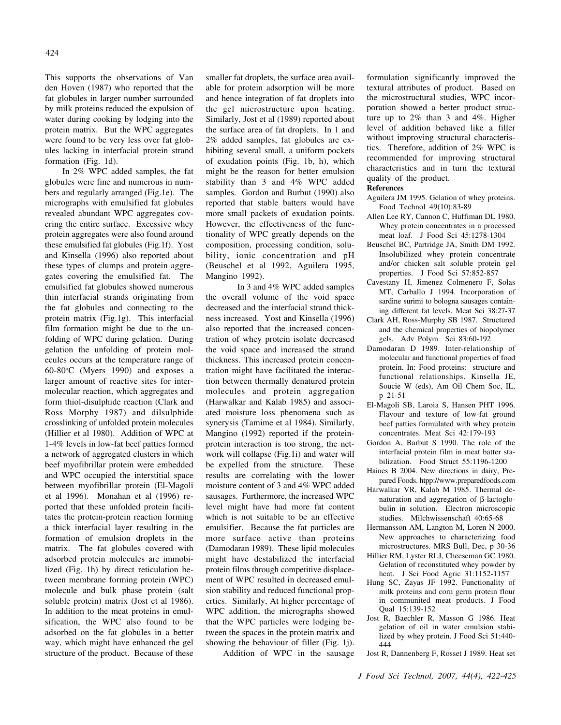This supports the observations of Van den Hoven (1987) who reported that the fat globules in larger number surrounded by milk proteins reduced the expulsion of water during cooking by lodging into the protein matrix. But the WPC aggregates were found to be very less over fat globules lacking in interfacial protein strand formation (Fig. 1d).

In 2% WPC added samples, the fat globules were fine and numerous in numbers and regularly arranged (Fig.1e). The micrographs with emulsified fat globules revealed abundant WPC aggregates covering the entire surface. Excessive whey protein aggregates were also found around these emulsified fat globules (Fig.1f). Yost and Kinsella (1996) also reported about these types of clumps and protein aggregates covering the emulsified fat. The emulsified fat globules showed numerous thin interfacial strands originating from the fat globules and connecting to the protein matrix (Fig.1g). This interfacial film formation might be due to the unfolding of WPC during gelation. During gelation the unfolding of protein molecules occurs at the temperature range of 60-80°C (Myers 1990) and exposes a larger amount of reactive sites for intermolecular reaction, which aggregates and form thiol-disulphide reaction (Clark and Ross Morphy 1987) and dilsulphide crosslinking of unfolded protein molecules (Hillier et al 1980). Addition of WPC at 1-4% levels in low-fat beef patties formed a network of aggregated clusters in which beef myofibrillar protein were embedded and WPC occupied the interstitial space between myofibrillar protein (El-Magoli et al 1996). Monahan et al (1996) reported that these unfolded protein facilitates the protein-protein reaction forming a thick interfacial layer resulting in the formation of emulsion droplets in the matrix. The fat globules covered with adsorbed protein molecules are immobilized (Fig. 1h) by direct reticulation between membrane forming protein (WPC) molecule and bulk phase protein (salt soluble protein) matrix (Jost et al 1986). In addition to the meat proteins in emulsification, the WPC also found to be adsorbed on the fat globules in a better way, which might have enhanced the gel structure of the product. Because of these

smaller fat droplets, the surface area available for protein adsorption will be more and hence integration of fat droplets into the gel microstructure upon heating. Similarly, Jost et al (1989) reported about the surface area of fat droplets. In 1 and 2% added samples, fat globules are exhibiting several small, a uniform pockets of exudation points (Fig. 1b, h), which might be the reason for better emulsion stability than 3 and 4% WPC added samples. Gordon and Burbut (1990) also reported that stable batters would have more small packets of exudation points. However, the effectiveness of the functionality of WPC greatly depends on the composition, processing condition, solubility, ionic concentration and pH (Beuschel et al 1992, Aguilera 1995, Mangino 1992).

In 3 and 4% WPC added samples the overall volume of the void space decreased and the interfacial strand thickness increased. Yost and Kinsella (1996) also reported that the increased concentration of whey protein isolate decreased the void space and increased the strand thickness. This increased protein concentration might have facilitated the interaction between thermally denatured protein molecules and protein aggregation (Harwalkar and Kalab 1985) and associated moisture loss phenomena such as synerysis (Tamime et al 1984). Similarly, Mangino (1992) reported if the proteinprotein interaction is too strong, the network will collapse (Fig.1i) and water will be expelled from the structure. These results are correlating with the lower moisture content of 3 and 4% WPC added sausages. Furthermore, the increased WPC level might have had more fat content which is not suitable to be an effective emulsifier. Because the fat particles are more surface active than proteins (Damodaran 1989). These lipid molecules might have destabilized the interfacial protein films through competitive displacement of WPC resulted in decreased emulsion stability and reduced functional properties. Similarly, At higher percentage of WPC addition, the micrographs showed that the WPC particles were lodging between the spaces in the protein matrix and showing the behaviour of filler (Fig. 1j).

Addition of WPC in the sausage

formulation significantly improved the textural attributes of product. Based on the microstructural studies, WPC incorporation showed a better product structure up to 2% than 3 and 4%. Higher level of addition behaved like a filler without improving structural characteristics. Therefore, addition of 2% WPC is recommended for improving structural characteristics and in turn the textural quality of the product.

#### References

- Aguilera JM 1995. Gelation of whey proteins. Food Technol 49(10):83-89
- Allen Lee RY, Cannon C, Huffiman DL 1980. Whey protein concentrates in a processed meat loaf. J Food Sci 45:1278-1304
- Beuschel BC, Partridge JA, Smith DM 1992. Insolubilized whey protein concentrate and/or chicken salt soluble protein gel properties. J Food Sci 57:852-857
- Cavestany H, Jimenez Colmenero F, Solas MT, Carballo J 1994. Incorporation of sardine surimi to bologna sausages containing different fat levels. Meat Sci 38:27-37
- Clark AH, Ross-Murphy SB 1987. Structured and the chemical properties of biopolymer gels. Adv Polym Sci 83:60-192
- Damodaran D 1989. Inter-relationship of molecular and functional properties of food protein. In: Food proteins: structure and functional relationships. Kinsella JE, Soucie W (eds), Am Oil Chem Soc, IL, p 21-51
- El-Magoli SB, Laroia S, Hansen PHT 1996. Flavour and texture of low-fat ground beef patties formulated with whey protein concentrates. Meat Sci 42:179-193
- Gordon A, Barbut S 1990. The role of the interfacial protein film in meat batter stabilization. Food Struct 55:1196-1200
- Haines B 2004. New directions in dairy, Prepared Foods. htpp://www.preparedfoods.com
- Harwalkar VR, Kalab M 1985. Thermal denaturation and aggregation of β-lactoglobulin in solution. Electron microscopic studies. Milchwissenschaft 40:65-68
- Hermansson AM, Langton M, Loren N 2000. New approaches to characterizing food microstructures. MRS Bull, Dec, p 30-36
- Hillier RM, Lyster RLJ, Cheeseman GC 1980. Gelation of reconstituted whey powder by heat. J Sci Food Agric 31:1152-1157
- Hung SC, Zayas JF 1992. Functionality of milk proteins and corn germ protein flour in communited meat products. J Food Qual 15:139-152
- Jost R, Baechler R, Masson G 1986. Heat gelation of oil in water emulsion stabilized by whey protein. J Food Sci 51:440- 444
- Jost R, Dannenberg F, Rosset J 1989. Heat set